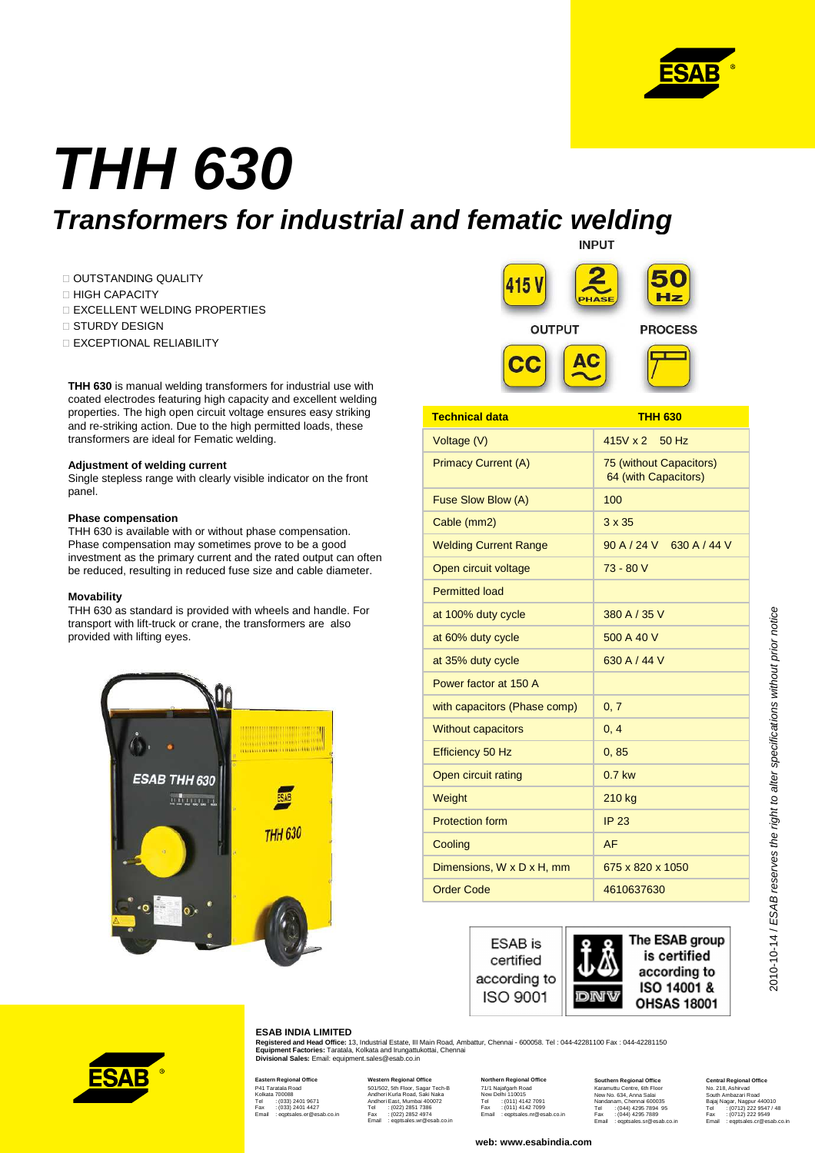

# **THH 630 Transformers for industrial and fematic welding**

 OUTSTANDING QUALITY HIGH CAPACITY EXCELLENT WELDING PROPERTIES STURDY DESIGN EXCEPTIONAL RELIABILITY

**THH 630** is manual welding transformers for industrial use with coated electrodes featuring high capacity and excellent welding properties. The high open circuit voltage ensures easy striking and re-striking action. Due to the high permitted loads, these transformers are ideal for Fematic welding.

### **Adjustment of welding current**

Single stepless range with clearly visible indicator on the front panel.

#### **Phase compensation**

THH 630 is available with or without phase compensation. Phase compensation may sometimes prove to be a good investment as the primary current and the rated output can often be reduced, resulting in reduced fuse size and cable diameter.

#### **Movability**

THH 630 as standard is provided with wheels and handle. For transport with lift-truck or crane, the transformers are also provided with lifting eyes.





| <b>Technical data</b>                  | <b>THH 630</b>                                  |
|----------------------------------------|-------------------------------------------------|
| Voltage (V)                            | $415V \times 2$<br>$50$ Hz                      |
| <b>Primacy Current (A)</b>             | 75 (without Capacitors)<br>64 (with Capacitors) |
| Fuse Slow Blow (A)                     | 100                                             |
| Cable (mm2)                            | $3 \times 35$                                   |
| <b>Welding Current Range</b>           | 90 A / 24 V 630 A / 44 V                        |
| Open circuit voltage                   | $73 - 80V$                                      |
| <b>Permitted load</b>                  |                                                 |
| at 100% duty cycle                     | 380 A / 35 V                                    |
| at 60% duty cycle                      | 500 A 40 V                                      |
| at 35% duty cycle                      | 630 A / 44 V                                    |
| Power factor at 150 A                  |                                                 |
| with capacitors (Phase comp)           | 0, 7                                            |
| <b>Without capacitors</b>              | 0, 4                                            |
| Efficiency 50 Hz                       | 0, 85                                           |
| Open circuit rating                    | $0.7$ kw                                        |
| Weight                                 | 210 kg                                          |
| <b>Protection form</b>                 | <b>IP 23</b>                                    |
| Cooling                                | AF                                              |
| Dimensions, $W \times D \times H$ , mm | 675 x 820 x 1050                                |
| <b>Order Code</b>                      | 4610637630                                      |



#### **ESAB INDIA LIMITED**

**Registered and Head Office:** 13, Industrial Estate, III Main Road, Ambattur, Chennai - 600058. Tel : 044-42281100 Fax : 044-42281150<br>**Equipment Factories:** Taratala, Kolkata and Irungattukottai, Chennai **Divisional Sales:** Email: equipment.sales@esab.co.in

#### **Eastern Regional Office** P41 Taratala Road Kolkata 700088 Tel : (033) 2401 9671 Fax : (033) 2401 4427

Email : eqptsales.er@esab.co.in **Western Regional Office**<br>501/502, 5th Floor, Sagar Tech-B<br>Andheri Kurla Road, Saki Naka Andheri East, Mumbai 400072 Tel : (022) 2851 7386 Fax : (022) 2852 4974 Email : eqptsales.wr@esab.co.in

**Northern Regional Office** 71/1 Najafgarh Road New Delhi 110015 Tel : (011) 4142 7091 Fax : (011) 4142 7099 Email : eqptsales.nr@esab.co.in

**web: www.esabindia.com**

**Southern Regional Office** Karamuttu Centre, 6th Floor New No. 634, Anna Salai Nandanam, Chennai 600035 Tel : (044) 4295 7894 95 Fax : (044) 4295 7889 Email : eqptsales.sr@esab.co.in

**Central Regio** No. 218, Ashirvad South Ambazari Road<br>Bajaj Nagar, Nagpur 440010<br>Tel : (0712) 222 9549<br>Fax : (0712) 222 9549<br>Email : eqptsales.cr@esab.co.in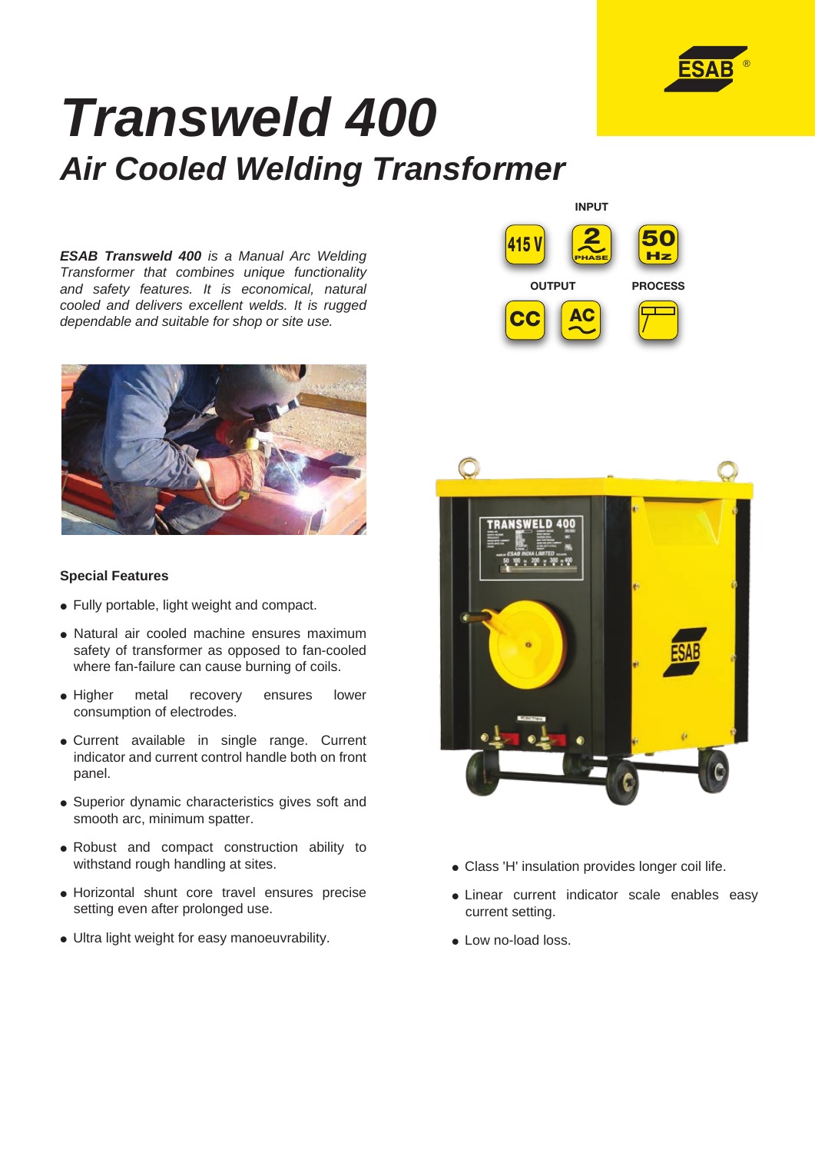

# *Transweld 400 Air Cooled Welding Transformer*

*ESAB Transweld 400 is a Manual Arc Welding Transformer that combines unique functionality and safety features. It is economical, natural cooled and delivers excellent welds. It is rugged dependable and suitable for shop or site use.* 



### **Special Features**

- Fully portable, light weight and compact.
- Natural air cooled machine ensures maximum safety of transformer as opposed to fan-cooled where fan-failure can cause burning of coils.
- Higher metal recovery ensures lower consumption of electrodes.
- Current available in single range. Current indicator and current control handle both on front panel.
- Superior dynamic characteristics gives soft and smooth arc, minimum spatter.
- Robust and compact construction ability to withstand rough handling at sites.
- Horizontal shunt core travel ensures precise setting even after prolonged use.
- Ultra light weight for easy manoeuvrability.





- Class 'H' insulation provides longer coil life.
- Linear current indicator scale enables easy current setting.
- Low no-load loss.